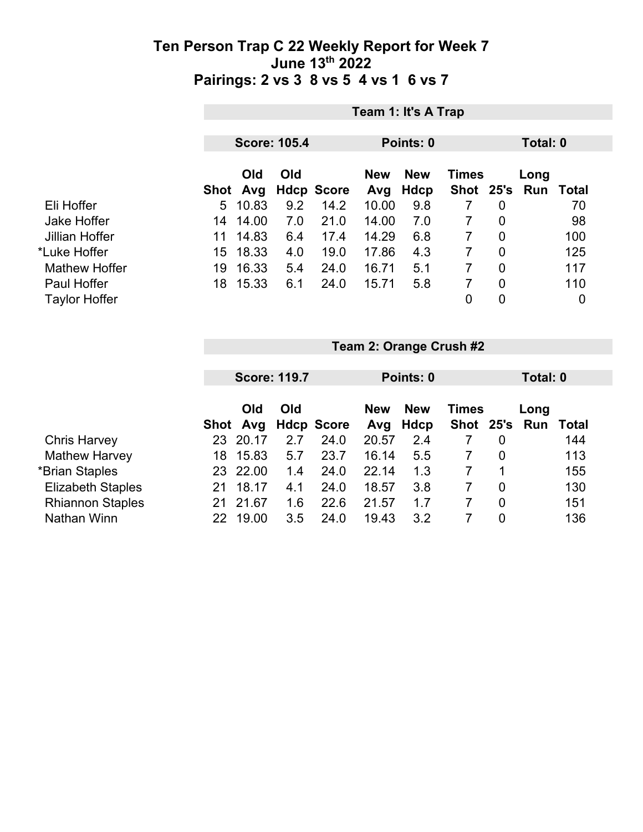|                      |                    | Team 1: It's A Trap |                   |                   |                    |              |                |                             |     |  |  |  |
|----------------------|--------------------|---------------------|-------------------|-------------------|--------------------|--------------|----------------|-----------------------------|-----|--|--|--|
|                      |                    | <b>Score: 105.4</b> |                   |                   |                    | Points: 0    |                |                             |     |  |  |  |
|                      | Old<br>Avg<br>Shot | Old                 | <b>Hdcp Score</b> | <b>New</b><br>Avg | <b>New</b><br>Hdcp | <b>Times</b> |                | Long<br>Shot 25's Run Total |     |  |  |  |
| Eli Hoffer           | 10.83<br>5.        | 9.2                 | 14.2              | 10.00             | 9.8                |              | $\overline{0}$ |                             | 70  |  |  |  |
| <b>Jake Hoffer</b>   | 14.00<br>14        | 7.0                 | 21.0              | 14.00             | 7.0                | 7            | $\overline{0}$ |                             | 98  |  |  |  |
| Jillian Hoffer       | 14.83<br>11        | 6.4                 | 17.4              | 14.29             | 6.8                | 7            | $\overline{0}$ |                             | 100 |  |  |  |
| *Luke Hoffer         | 18.33<br>15        | 4.0                 | 19.0              | 17.86             | 4.3                | 7            | $\overline{0}$ |                             | 125 |  |  |  |
| <b>Mathew Hoffer</b> | 16.33<br>19        | 5.4                 | 24.0              | 16.71             | 5.1                | 7            | $\overline{0}$ |                             | 117 |  |  |  |
| Paul Hoffer          | 15.33<br>18        | 6.1                 | 24.0              | 15.71             | 5.8                |              | $\overline{0}$ |                             | 110 |  |  |  |
| <b>Taylor Hoffer</b> |                    |                     |                   |                   |                    | 0            | 0              |                             | 0   |  |  |  |

|                          |      |            | <b>Score: 119.7</b> |                |                                          | Points: 0 |           |      | Total: 0 |              |  |
|--------------------------|------|------------|---------------------|----------------|------------------------------------------|-----------|-----------|------|----------|--------------|--|
|                          |      |            |                     |                |                                          |           |           |      |          |              |  |
|                          |      | Old<br>Old |                     |                | <b>New</b><br><b>Times</b><br><b>New</b> |           |           | Long |          |              |  |
|                          | Shot |            |                     | Avg Hdcp Score | Avg                                      | Hdcp      | Shot 25's |      | Run      | <b>Total</b> |  |
| <b>Chris Harvey</b>      | 23   | 20.17      | 2.7                 | 24.0           | 20.57                                    | 2.4       |           | 0    |          | 144          |  |
| <b>Mathew Harvey</b>     | 18   | 15.83      | 5.7                 | 23.7           | 16.14                                    | 5.5       |           | 0    |          | 113          |  |
| *Brian Staples           | 23   | 22.00      | 1.4                 | 24.0           | 22.14                                    | 1.3       |           |      |          | 155          |  |
| <b>Elizabeth Staples</b> | 21   | 18.17      | 4.1                 | 24.0           | 18.57                                    | 3.8       |           | 0    |          | 130          |  |
| <b>Rhiannon Staples</b>  | 21   | 21.67      | 1.6                 | 22.6           | 21.57                                    | 1.7       |           | 0    |          | 151          |  |
| Nathan Winn              | 22   | 19.00      | 3.5                 | 24.0           | 19.43                                    | 3.2       |           | 0    |          | 136          |  |

**Team 2: Orange Crush #2**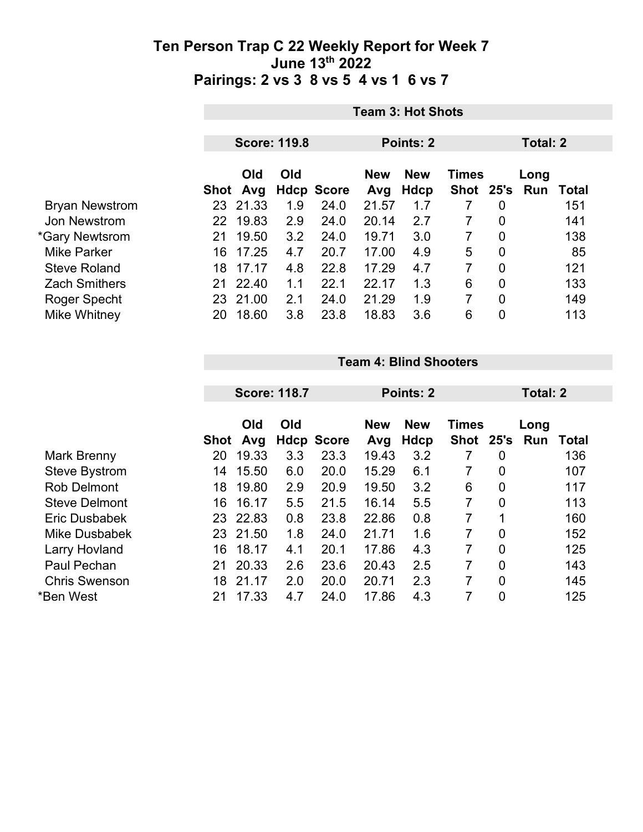|                       | <b>Team 3: Hot Shots</b> |          |                     |                                          |       |                  |                |                |     |       |  |
|-----------------------|--------------------------|----------|---------------------|------------------------------------------|-------|------------------|----------------|----------------|-----|-------|--|
|                       |                          |          | <b>Score: 119.8</b> |                                          |       | <b>Points: 2</b> |                | Total: 2       |     |       |  |
|                       | Old<br><b>Old</b>        |          |                     | <b>New</b><br><b>New</b><br><b>Times</b> |       |                  |                | Long           |     |       |  |
|                       | Shot                     | Avg      |                     | <b>Hdcp Score</b>                        | Avg   | Hdcp             | Shot 25's      |                | Run | Total |  |
| <b>Bryan Newstrom</b> | 23                       | 21.33    | 1.9                 | 24.0                                     | 21.57 | 1.7              |                | 0              |     | 151   |  |
| Jon Newstrom          |                          | 22 19.83 | 2.9                 | 24.0                                     | 20.14 | 2.7              | 7              | 0              |     | 141   |  |
| *Gary Newtsrom        | 21                       | 19.50    | 3.2                 | 24.0                                     | 19.71 | 3.0              | 7              | 0              |     | 138   |  |
| <b>Mike Parker</b>    | 16                       | 17.25    | 4.7                 | 20.7                                     | 17.00 | 4.9              | 5              | $\overline{0}$ |     | 85    |  |
| <b>Steve Roland</b>   | 18                       | 17.17    | 4.8                 | 22.8                                     | 17.29 | 4.7              | $\overline{7}$ | 0              |     | 121   |  |
| <b>Zach Smithers</b>  | 21                       | 22.40    | 1.1                 | 22.1                                     | 22.17 | 1.3              | 6              | 0              |     | 133   |  |
| Roger Specht          | 23.                      | 21.00    | 2.1                 | 24.0                                     | 21.29 | 1.9              | 7              | 0              |     | 149   |  |
| Mike Whitney          | 20                       | 18.60    | 3.8                 | 23.8                                     | 18.83 | 3.6              | 6              | 0              |     | 113   |  |

#### **Team 4: Blind Shooters**

| <b>Score: 118.7</b> |       |                      |      |                   | Total: 2   |                          |             |      |              |
|---------------------|-------|----------------------|------|-------------------|------------|--------------------------|-------------|------|--------------|
|                     | Old   | Old                  |      | <b>New</b>        | <b>New</b> | <b>Times</b>             |             | Long | <b>Total</b> |
| 20                  | 19.33 | 3.3                  | 23.3 | 19.43             | 3.2        |                          | 0           |      | 136          |
| 14                  | 15.50 | 6.0                  | 20.0 | 15.29             | 6.1        |                          | 0           |      | 107          |
| 18                  | 19.80 | 2.9                  | 20.9 | 19.50             | 3.2        | 6                        | 0           |      | 117          |
| 16                  | 16.17 | 5.5                  | 21.5 | 16.14             | 5.5        | 7                        | 0           |      | 113          |
| 23                  | 22.83 | 0.8                  | 23.8 | 22.86             | 0.8        | 7                        | $\mathbf 1$ |      | 160          |
| 23                  |       | 1.8                  | 24.0 | 21.71             | 1.6        | 7                        | 0           |      | 152          |
| 16                  | 18.17 | 4.1                  | 20.1 | 17.86             | 4.3        |                          | 0           |      | 125          |
| 21                  | 20.33 | 2.6                  | 23.6 | 20.43             | 2.5        | 7                        | 0           |      | 143          |
| 18                  | 21.17 | 2.0                  | 20.0 | 20.71             | 2.3        | 7                        | 0           |      | 145          |
| 21                  | 17.33 | 4.7                  | 24.0 | 17.86             | 4.3        | 7                        | 0           |      | 125          |
|                     |       | Avg<br>Shot<br>21.50 |      | <b>Hdcp Score</b> | Avg        | <b>Points: 2</b><br>Hdcp | <b>Shot</b> | 25's | Run          |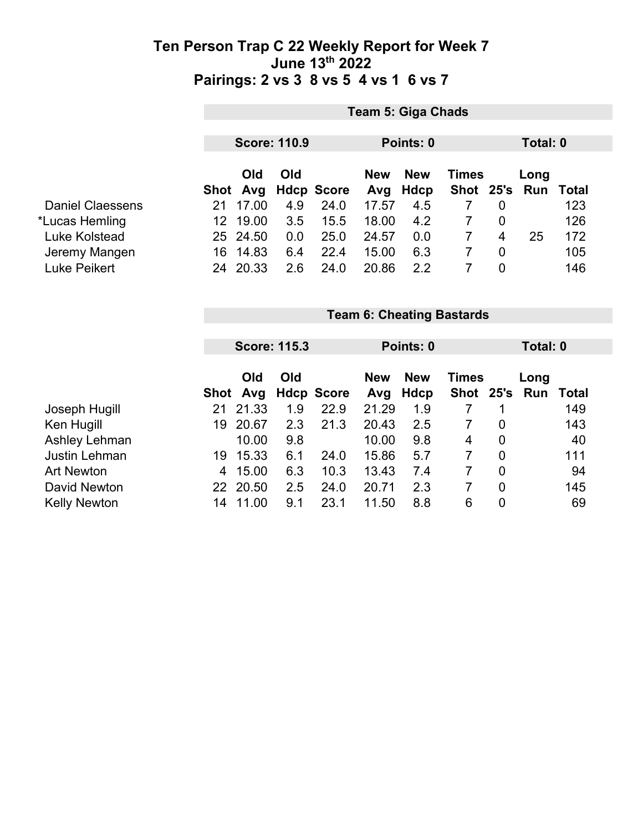|                         | <b>Team 5: Giga Chads</b> |          |     |                                          |           |      |          |                |                     |     |  |
|-------------------------|---------------------------|----------|-----|------------------------------------------|-----------|------|----------|----------------|---------------------|-----|--|
|                         | <b>Score: 110.9</b>       |          |     |                                          | Points: 0 |      | Total: 0 |                |                     |     |  |
|                         | Old<br>Old                |          |     | <b>New</b><br><b>New</b><br><b>Times</b> |           |      | Long     |                |                     |     |  |
|                         |                           | Shot Avg |     | <b>Hdcp Score</b>                        | Avg       | Hdcp |          |                | Shot 25's Run Total |     |  |
| <b>Daniel Claessens</b> | 21                        | 17.00    | 4.9 | 24.0                                     | 17.57     | 4.5  |          | 0              |                     | 123 |  |
| *Lucas Hemling          |                           | 12 19.00 | 3.5 | 15.5                                     | 18.00     | 4.2  |          | 0              |                     | 126 |  |
| Luke Kolstead           |                           | 25 24.50 | 0.0 | 25.0                                     | 24.57     | 0.0  | 7        | $\overline{4}$ | 25                  | 172 |  |
| Jeremy Mangen           | 16                        | 14.83    | 6.4 | 22.4                                     | 15.00     | 6.3  | 7        | 0              |                     | 105 |  |
| <b>Luke Peikert</b>     | 24                        | 20.33    | 2.6 | 24.0                                     | 20.86     | 2.2  |          | 0              |                     | 146 |  |

|                      |      |            | <b>Score: 115.3</b> |                   |            | Points: 0  |               |                | Total: 0 |              |  |
|----------------------|------|------------|---------------------|-------------------|------------|------------|---------------|----------------|----------|--------------|--|
|                      |      |            |                     |                   |            |            |               |                |          |              |  |
|                      |      | Old<br>Old |                     |                   | <b>New</b> | <b>New</b> | <b>Times</b>  |                | Long     |              |  |
|                      | Shot | Avg        |                     | <b>Hdcp Score</b> | Avg        | Hdcp       | Shot 25's Run |                |          | <b>Total</b> |  |
| Joseph Hugill        |      | 21.33      | 1.9                 | 22.9              | 21.29      | 1.9        |               |                |          | 149          |  |
| Ken Hugill           | 19   | 20.67      | 2.3                 | 21.3              | 20.43      | 2.5        |               | 0              |          | 143          |  |
| Ashley Lehman        |      | 10.00      | 9.8                 |                   | 10.00      | 9.8        | 4             | $\overline{0}$ |          | 40           |  |
| <b>Justin Lehman</b> | 19.  | 15.33      | 6.1                 | 24.0              | 15.86      | 5.7        | 7             | $\overline{0}$ |          | 111          |  |
| <b>Art Newton</b>    | 4    | 15.00      | 6.3                 | 10.3              | 13.43      | 7.4        | 7             | $\overline{0}$ |          | 94           |  |
| David Newton         |      | 22 20.50   | 2.5                 | 24.0              | 20.71      | 2.3        | 7             | $\overline{0}$ |          | 145          |  |
| <b>Kelly Newton</b>  | 14   | 11.00      | 9.1                 | 23.1              | 11.50      | 8.8        | 6             | 0              |          | 69           |  |

**Team 6: Cheating Bastards**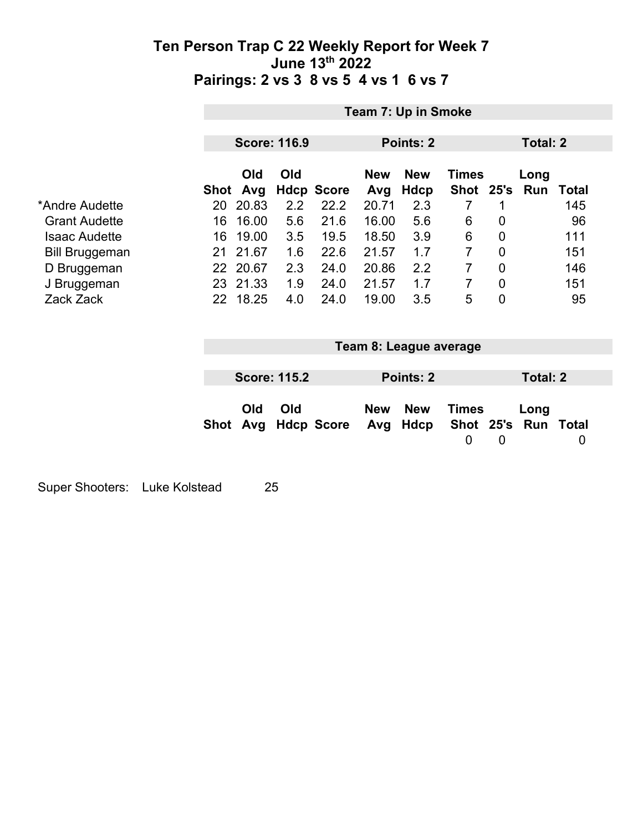|                       | Team 7: Up in Smoke |            |                     |                   |                   |                           |                             |                |                             |              |
|-----------------------|---------------------|------------|---------------------|-------------------|-------------------|---------------------------|-----------------------------|----------------|-----------------------------|--------------|
|                       | <b>Score: 116.9</b> |            |                     |                   | Points: 2         |                           | Total: 2                    |                |                             |              |
|                       | Shot                | Old<br>Avg | Old                 | <b>Hdcp Score</b> | <b>New</b><br>Avg | <b>New</b><br>Hdcp        | <b>Times</b><br>Shot 25's   |                | Long<br>Run                 | <b>Total</b> |
| *Andre Audette        |                     | 20 20.83   | 2.2                 | 22.2              | 20.71             | 2.3                       | $\overline{7}$              | 1              |                             | 145          |
| <b>Grant Audette</b>  | 16                  | 16.00      | 5.6                 | 21.6              | 16.00             | 5.6                       | 6                           | $\mathbf 0$    |                             | 96           |
| <b>Isaac Audette</b>  | 16 <sup>°</sup>     | 19.00      | 3.5                 | 19.5              | 18.50             | 3.9                       | 6                           | $\overline{0}$ |                             | 111          |
| <b>Bill Bruggeman</b> |                     | 21 21.67   | 1.6                 | 22.6              | 21.57             | 1.7                       | $\overline{7}$              | $\overline{0}$ |                             | 151          |
| D Bruggeman           |                     | 22 20.67   | 2.3                 | 24.0              | 20.86             | 2.2                       | $\overline{7}$              | $\mathbf 0$    |                             | 146          |
| J Bruggeman           |                     | 23 21.33   | 1.9                 | 24.0              | 21.57             | 1.7                       | $\overline{7}$              | 0              |                             | 151          |
| Zack Zack             |                     | 22 18.25   | 4.0                 | 24.0              | 19.00             | 3.5                       | 5                           | $\overline{0}$ |                             | 95           |
|                       |                     |            |                     |                   |                   | Team 8: League average    |                             |                |                             |              |
|                       |                     |            | <b>Score: 115.2</b> |                   |                   | Points: 2                 |                             |                | <b>Total: 2</b>             |              |
|                       | Shot                | Old<br>Avg | Old                 | <b>Hdcp Score</b> | <b>New</b><br>Avg | <b>New</b><br><b>Hdcp</b> | <b>Times</b><br>$\mathbf 0$ | $\overline{0}$ | Long<br>Shot 25's Run Total | 0            |

Super Shooters: Luke Kolstead 25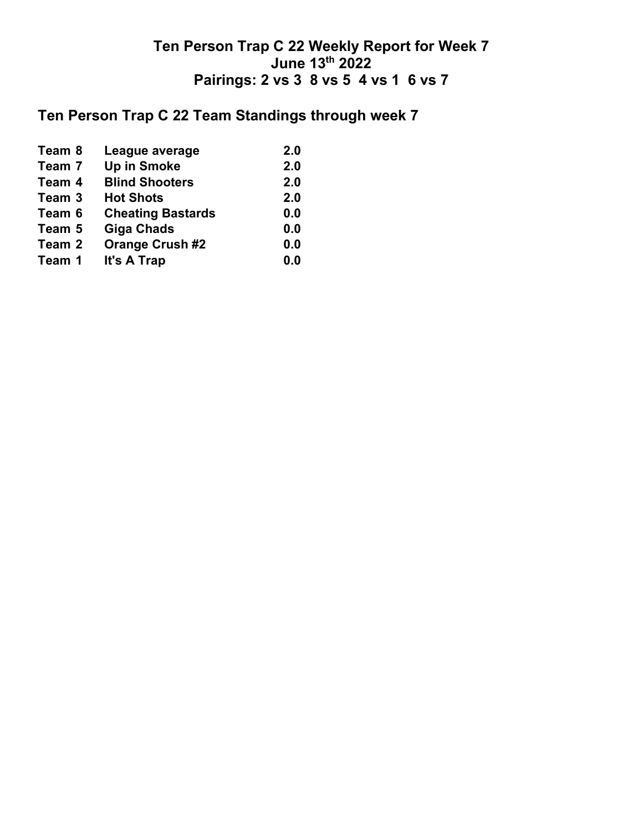# **Ten Person Trap C 22 Team Standings through week 7**

| Team 8 | League average           | 2.0 |
|--------|--------------------------|-----|
| Team 7 | <b>Up in Smoke</b>       | 2.0 |
| Team 4 | <b>Blind Shooters</b>    | 2.0 |
| Team 3 | <b>Hot Shots</b>         | 2.0 |
| Team 6 | <b>Cheating Bastards</b> | 0.0 |
| Team 5 | <b>Giga Chads</b>        | 0.0 |
| Team 2 | <b>Orange Crush #2</b>   | 0.0 |
| Team 1 | It's A Trap              | 0.0 |
|        |                          |     |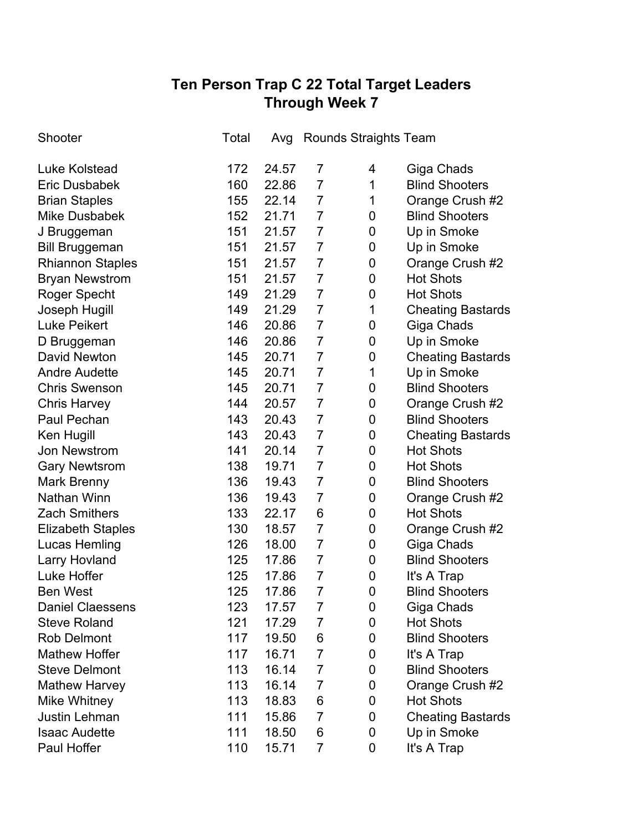## **Ten Person Trap C 22 Total Target Leaders Through Week 7**

| Shooter                  | Total | Avg   | <b>Rounds Straights Team</b> |                  |                          |
|--------------------------|-------|-------|------------------------------|------------------|--------------------------|
| Luke Kolstead            | 172   | 24.57 | 7                            | 4                | Giga Chads               |
| <b>Eric Dusbabek</b>     | 160   | 22.86 | $\overline{7}$               | 1                | <b>Blind Shooters</b>    |
| <b>Brian Staples</b>     | 155   | 22.14 | $\overline{7}$               | 1                | Orange Crush #2          |
| <b>Mike Dusbabek</b>     | 152   | 21.71 | $\overline{7}$               | 0                | <b>Blind Shooters</b>    |
| J Bruggeman              | 151   | 21.57 | $\overline{7}$               | 0                | Up in Smoke              |
| <b>Bill Bruggeman</b>    | 151   | 21.57 | $\overline{7}$               | 0                | Up in Smoke              |
| <b>Rhiannon Staples</b>  | 151   | 21.57 | $\overline{7}$               | 0                | Orange Crush #2          |
| <b>Bryan Newstrom</b>    | 151   | 21.57 | $\overline{7}$               | 0                | <b>Hot Shots</b>         |
| <b>Roger Specht</b>      | 149   | 21.29 | $\overline{7}$               | 0                | <b>Hot Shots</b>         |
| Joseph Hugill            | 149   | 21.29 | $\overline{7}$               | 1                | <b>Cheating Bastards</b> |
| <b>Luke Peikert</b>      | 146   | 20.86 | $\overline{7}$               | 0                | Giga Chads               |
| D Bruggeman              | 146   | 20.86 | $\overline{7}$               | 0                | Up in Smoke              |
| David Newton             | 145   | 20.71 | $\overline{7}$               | 0                | <b>Cheating Bastards</b> |
| <b>Andre Audette</b>     | 145   | 20.71 | $\overline{7}$               | 1                | Up in Smoke              |
| <b>Chris Swenson</b>     | 145   | 20.71 | $\overline{7}$               | 0                | <b>Blind Shooters</b>    |
| <b>Chris Harvey</b>      | 144   | 20.57 | $\overline{7}$               | 0                | Orange Crush #2          |
| Paul Pechan              | 143   | 20.43 | $\overline{7}$               | 0                | <b>Blind Shooters</b>    |
| Ken Hugill               | 143   | 20.43 | $\overline{7}$               | 0                | <b>Cheating Bastards</b> |
| <b>Jon Newstrom</b>      | 141   | 20.14 | $\overline{7}$               | 0                | <b>Hot Shots</b>         |
| <b>Gary Newtsrom</b>     | 138   | 19.71 | $\overline{7}$               | 0                | <b>Hot Shots</b>         |
| Mark Brenny              | 136   | 19.43 | $\overline{7}$               | 0                | <b>Blind Shooters</b>    |
| Nathan Winn              | 136   | 19.43 | $\overline{7}$               | 0                | Orange Crush #2          |
| <b>Zach Smithers</b>     | 133   | 22.17 | 6                            | $\boldsymbol{0}$ | <b>Hot Shots</b>         |
| <b>Elizabeth Staples</b> | 130   | 18.57 | $\overline{7}$               | 0                | Orange Crush #2          |
| Lucas Hemling            | 126   | 18.00 | $\overline{7}$               | 0                | Giga Chads               |
| <b>Larry Hovland</b>     | 125   | 17.86 | $\overline{7}$               | 0                | <b>Blind Shooters</b>    |
| Luke Hoffer              | 125   | 17.86 | $\overline{7}$               | $\boldsymbol{0}$ | It's A Trap              |
| <b>Ben West</b>          | 125   | 17.86 | $\overline{7}$               | $\overline{0}$   | <b>Blind Shooters</b>    |
| <b>Daniel Claessens</b>  | 123   | 17.57 | 7                            | 0                | Giga Chads               |
| <b>Steve Roland</b>      | 121   | 17.29 | $\overline{7}$               | 0                | <b>Hot Shots</b>         |
| <b>Rob Delmont</b>       | 117   | 19.50 | 6                            | 0                | <b>Blind Shooters</b>    |
| <b>Mathew Hoffer</b>     | 117   | 16.71 | $\overline{7}$               | 0                | It's A Trap              |
| <b>Steve Delmont</b>     | 113   | 16.14 | $\overline{7}$               | 0                | <b>Blind Shooters</b>    |
| <b>Mathew Harvey</b>     | 113   | 16.14 | $\overline{7}$               | 0                | Orange Crush #2          |
| Mike Whitney             | 113   | 18.83 | 6                            | 0                | <b>Hot Shots</b>         |
| <b>Justin Lehman</b>     | 111   | 15.86 | $\overline{7}$               | 0                | <b>Cheating Bastards</b> |
| <b>Isaac Audette</b>     | 111   | 18.50 | 6                            | 0                | Up in Smoke              |
| Paul Hoffer              | 110   | 15.71 | $\overline{7}$               | 0                | It's A Trap              |